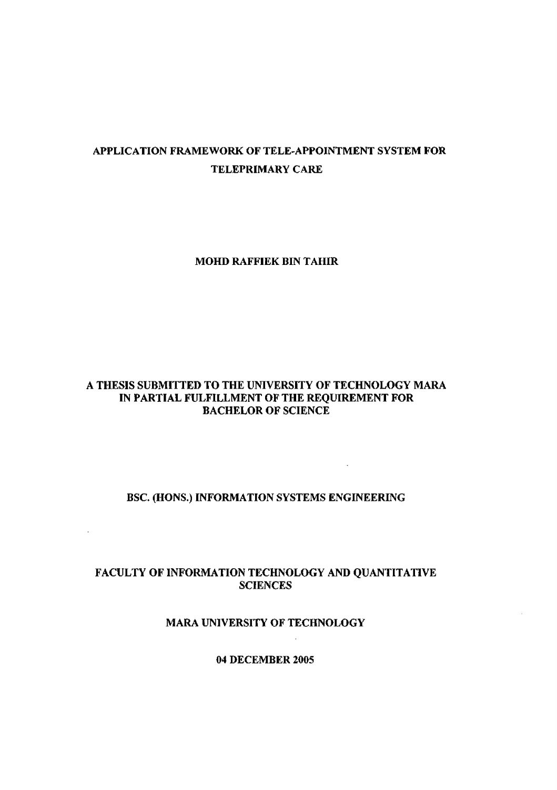# APPLICATION FRAMEWORK OF TELE-APPOINTMENT SYSTEM FOR TELEPRIMARY CARE

MOHD RAFFIEK BIN TAHIR

## A THESIS SUBMITTED TO THE UNIVERSITY OF TECHNOLOGY MARA IN PARTIAL FULFILLMENT OF THE REQUIREMENT FOR BACHELOR OF SCIENCE

### BSC. (HONS.) INFORMATION SYSTEMS ENGINEERING

 $\sim 10$ 

## FACULTY OF INFORMATION TECHNOLOGY AND QUANTITATIVE SCIENCES

## MARA UNIVERSITY OF TECHNOLOGY

04 DECEMBER 2005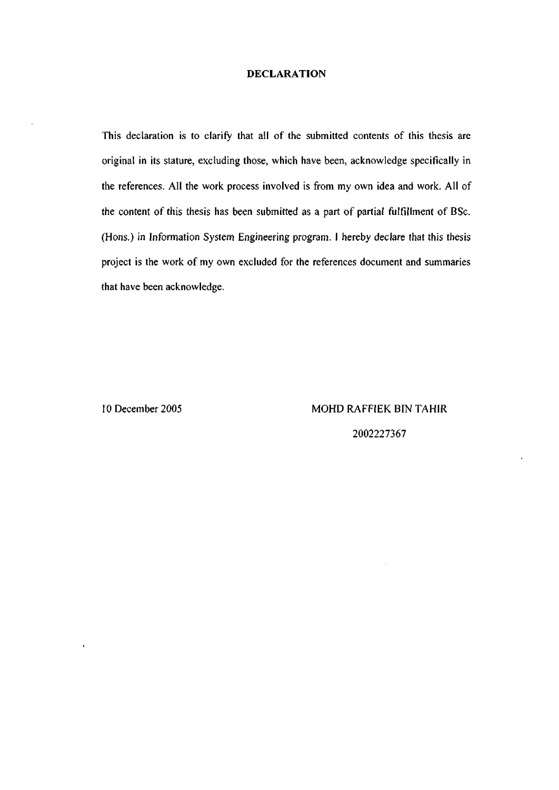#### **DECLARATION**

This declaration is to clarify that all of the submitted contents of this thesis are original in its stature, excluding those, which have been, acknowledge specifically in the references. All the work process involved is from my own idea and work. All of the content of this thesis has been submitted as a part of partial fulfillment of BSc. (Hons.) in Information System Engineering program. I hereby declare that this thesis project is the work of my own excluded for the references document and summaries that have been acknowledge.

10 December 2005 MOHD RAFFIEK BIN TAHIR 2002227367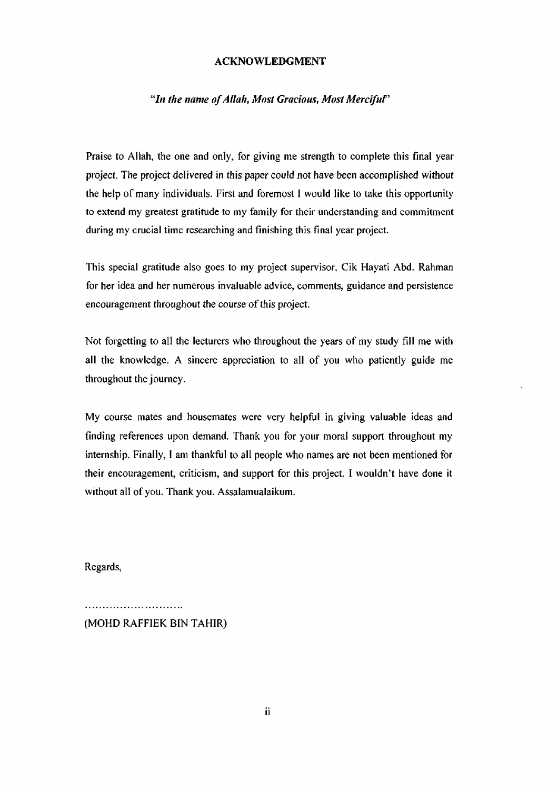#### ACKNOWLEDGMENT

### "In the name of Allah, Most Gracious, Most Merciful"

Praise to Allah, the one and only, for giving me strength to complete this final year project. The project delivered in this paper could not have been accomplished without the help of many individuals. First and foremost I would like to take this opportunity to extend my greatest gratitude to my family for their understanding and commitment during my crucial time researching and finishing this final year project.

This special gratitude also goes to my project supervisor, Cik Hayati Abd. Rahman for her idea and her numerous invaluable advice, comments, guidance and persistence encouragement throughout the course of this project.

Not forgetting to all the lecturers who throughout the years of my study fill me with all the knowledge. A sincere appreciation to all of you who patiently guide me throughout the journey.

My course mates and housemates were very helpful in giving valuable ideas and finding references upon demand. Thank you for your moral support throughout my internship. Finally, I am thankful to all people who names are not been mentioned for their encouragement, criticism, and support for this project. I wouldn't have done it without all of you. Thank you. Assalamualaikum.

Regards,

(MOHD RAFFIEK BIN TAHIR)

...........................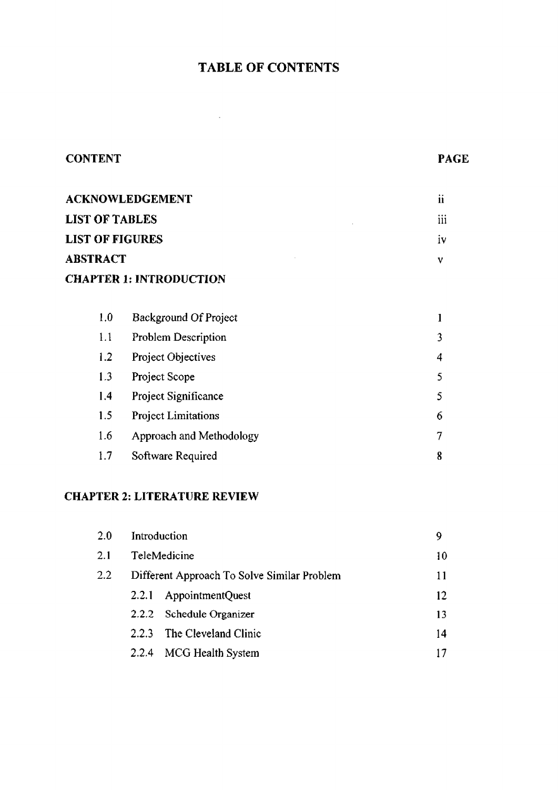# **TABLE OF CONTENTS**

**CONTENT PAGE** 

 $\mathcal{L}^{\text{max}}_{\text{max}}$  , where  $\mathcal{L}^{\text{max}}_{\text{max}}$ 

| <b>ACKNOWLEDGEMENT</b> | ii                             |   |
|------------------------|--------------------------------|---|
| <b>LIST OF TABLES</b>  | iii                            |   |
| <b>LIST OF FIGURES</b> | iv                             |   |
| <b>ABSTRACT</b>        |                                |   |
|                        | <b>CHAPTER 1: INTRODUCTION</b> |   |
|                        |                                |   |
| 1,0                    | <b>Background Of Project</b>   | 1 |
| 1.1                    | Problem Description            | 3 |
| 1.2                    | Project Objectives             | 4 |
| 1.3                    | Project Scope                  |   |

| 1.4 | <b>Project Significance</b> |    |
|-----|-----------------------------|----|
| 1.5 | <b>Project Limitations</b>  | 6. |
| 1.6 | Approach and Methodology    |    |
| 1.7 | Software Required           |    |

## **CHAPTER 2: LITERATURE REVIEW**

| 2.0 | Introduction                                |                      | 9  |
|-----|---------------------------------------------|----------------------|----|
| 2.1 | <b>TeleMedicine</b>                         | 10                   |    |
| 2.2 | Different Approach To Solve Similar Problem |                      | 11 |
|     | 2.2.1                                       | AppointmentQuest     | 12 |
|     | 2.2.2                                       | Schedule Organizer   | 13 |
|     | 2.2.3                                       | The Cleveland Clinic | 14 |
|     | 2.2.4                                       | MCG Health System    |    |